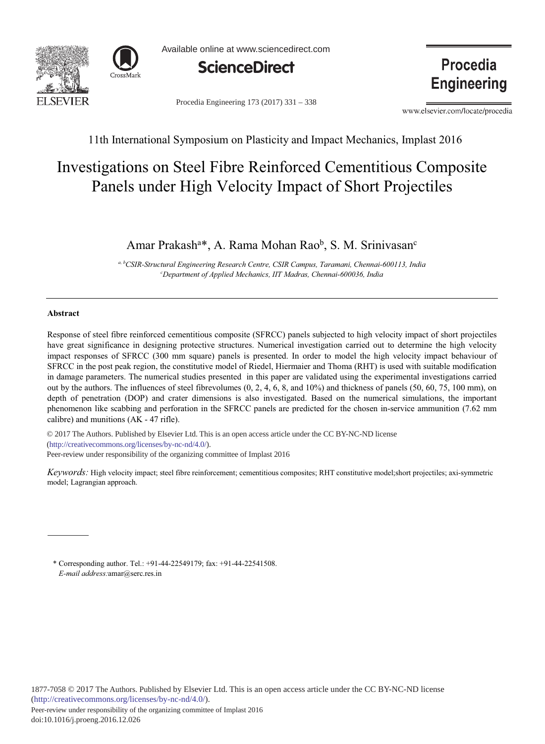



Available online at www.sciencedirect.com



Procedia Engineering 173 (2017) 331 - 338

**Procedia Engineering** 

www.elsevier.com/locate/procedia

11th International Symposium on Plasticity and Impact Mechanics, Implast 2016

# Investigations on Steel Fibre Reinforced Cementitious Composite Panels under High Velocity Impact of Short Projectiles

# Amar Prakash<sup>a\*</sup>, A. Rama Mohan Rao<sup>b</sup>, S. M. Srinivasan<sup>c</sup>

<sup>*a, b*CSIR-Structural Engineering Research Centre, CSIR Campus, Taramani, Chennai-600113, India</sup> *<sup>c</sup>* Department of Applied Mechanics, IIT Madras, Chennai-600036, India

# **-**

Response of steel fibre reinforced cementitious composite (SFRCC) panels subjected to high velocity impact of short projectiles have great significance in designing protective structures. Numerical investigation carried out to determine the high velocity impact responses of SFRCC (300 mm square) panels is presented. In order to model the high velocity impact behaviour of SFRCC in the post peak region, the constitutive model of Riedel, Hiermaier and Thoma (RHT) is used with suitable modification in damage parameters. The numerical studies presented in this paper are validated using the experimental investigations carried out by the authors. The influences of steel fibrevolumes  $(0, 2, 4, 6, 8, \text{ and } 10\%)$  and thickness of panels  $(50, 60, 75, 100 \text{ mm})$ , on depth of penetration (DOP) and crater dimensions is also investigated. Based on the numerical simulations, the important phenomenon like scabbing and perforation in the SFRCC panels are predicted for the chosen in-service ammunition (7.62 mm calibre) and munitions  $(AK - 47 \text{ rifle})$ .

(http://creativecommons.org/licenses/by-nc-nd/4.0/). Peer-review under responsibility of the organizing committee of Implast 2016 © 2017 The Authors. Published by Elsevier Ltd. This is an open access article under the CC BY-NC-ND license

Keywords: High velocity impact; steel fibre reinforcement; cementitious composites; RHT constitutive model;short projectiles; axi-symmetric model; Lagrangian approach.

\* Corresponding author. Tel.: +91-44-22549179; fax: +91-44-22541508. E-mail address: amar@serc.res.in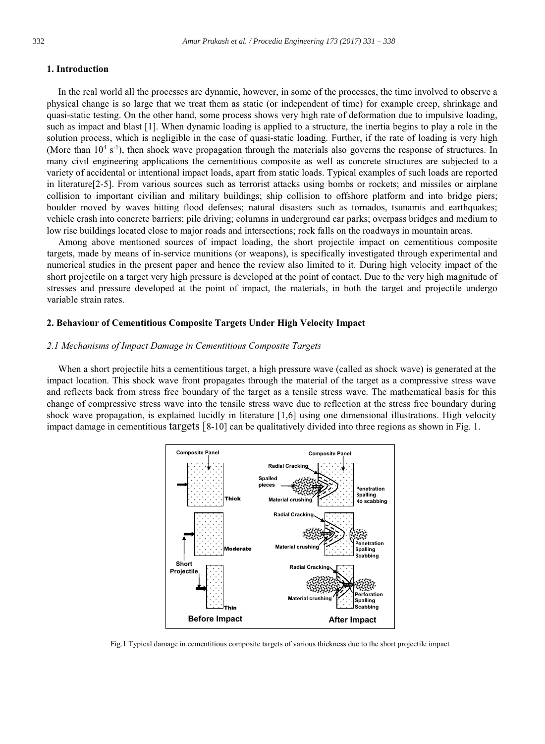# 1. Introduction

In the real world all the processes are dynamic, however, in some of the processes, the time involved to observe a physical change is so large that we treat them as static (or independent of time) for example creep, shrinkage and quasi-static testing. On the other hand, some process shows very high rate of deformation due to impulsive loading, such as impact and blast [1]. When dynamic loading is applied to a structure, the inertia begins to play a role in the solution process, which is negligible in the case of quasi-static loading. Further, if the rate of loading is very high (More than  $10^4$  s<sup>-1</sup>), then shock wave propagation through the materials also governs the response of structures. In many civil engineering applications the cementitious composite as well as concrete structures are subjected to a variety of accidental or intentional impact loads, apart from static loads. Typical examples of such loads are reported in literature [2-5]. From various sources such as terrorist attacks using bombs or rockets; and missiles or airplane collision to important civilian and military buildings; ship collision to offshore platform and into bridge piers; boulder moved by waves hitting flood defenses; natural disasters such as tornados, tsunamis and earthquakes; vehicle crash into concrete barriers; pile driving; columns in underground car parks; overpass bridges and medium to low rise buildings located close to major roads and intersections; rock falls on the roadways in mountain areas.

Among above mentioned sources of impact loading, the short projectile impact on cementitious composite targets, made by means of in-service munitions (or weapons), is specifically investigated through experimental and numerical studies in the present paper and hence the review also limited to it. During high velocity impact of the short projectile on a target very high pressure is developed at the point of contact. Due to the very high magnitude of stresses and pressure developed at the point of impact, the materials, in both the target and projectile undergo variable strain rates.

# 2. Behaviour of Cementitious Composite Targets Under High Velocity Impact

#### 2.1 Mechanisms of Impact Damage in Cementitious Composite Targets

When a short projectile hits a cementitious target, a high pressure wave (called as shock wave) is generated at the impact location. This shock wave front propagates through the material of the target as a compressive stress wave and reflects back from stress free boundary of the target as a tensile stress wave. The mathematical basis for this change of compressive stress wave into the tensile stress wave due to reflection at the stress free boundary during shock wave propagation, is explained lucidly in literature [1,6] using one dimensional illustrations. High velocity impact damage in cementitious targets  $[8-10]$  can be qualitatively divided into three regions as shown in Fig. 1.



Fig.1 Typical damage in cementitious composite targets of various thickness due to the short projectile impact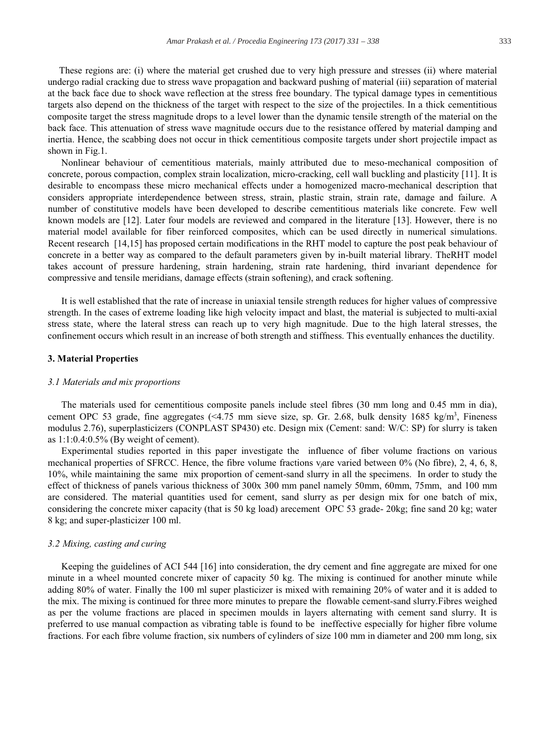These regions are: (i) where the material get crushed due to very high pressure and stresses (ii) where material undergo radial cracking due to stress wave propagation and backward pushing of material (iii) separation of material at the back face due to shock wave reflection at the stress free boundary. The typical damage types in cementitious targets also depend on the thickness of the target with respect to the size of the projectiles. In a thick cementitious composite target the stress magnitude drops to a level lower than the dynamic tensile strength of the material on the back face. This attenuation of stress wave magnitude occurs due to the resistance offered by material damping and inertia. Hence, the scabbing does not occur in thick cementitious composite targets under short projectile impact as shown in Fig.1.

Nonlinear behaviour of cementitious materials, mainly attributed due to meso-mechanical composition of concrete, porous compaction, complex strain localization, micro-cracking, cell wall buckling and plasticity [11]. It is desirable to encompass these micro mechanical effects under a homogenized macro-mechanical description that considers appropriate interdependence between stress, strain, plastic strain, strain rate, damage and failure. A number of constitutive models have been developed to describe cementitious materials like concrete. Few well known models are [12]. Later four models are reviewed and compared in the literature [13]. However, there is no material model available for fiber reinforced composites, which can be used directly in numerical simulations. Recent research [14,15] has proposed certain modifications in the RHT model to capture the post peak behaviour of concrete in a better way as compared to the default parameters given by in-built material library. The RHT model takes account of pressure hardening, strain hardening, strain rate hardening, third invariant dependence for compressive and tensile meridians, damage effects (strain softening), and crack softening.

It is well established that the rate of increase in uniaxial tensile strength reduces for higher values of compressive strength. In the cases of extreme loading like high velocity impact and blast, the material is subjected to multi-axial stress state, where the lateral stress can reach up to very high magnitude. Due to the high lateral stresses, the confinement occurs which result in an increase of both strength and stiffness. This eventually enhances the ductility.

#### 3. Material Properties

#### 3.1 Materials and mix proportions

The materials used for cementitious composite panels include steel fibres (30 mm long and 0.45 mm in dia), cement OPC 53 grade, fine aggregates (<4.75 mm sieve size, sp. Gr. 2.68, bulk density 1685 kg/m<sup>3</sup>, Fineness modulus 2.76), superplasticizers (CONPLAST SP430) etc. Design mix (Cement: sand: W/C: SP) for slurry is taken as  $1:1:0.4:0.5\%$  (By weight of cement).

Experimental studies reported in this paper investigate the influence of fiber volume fractions on various mechanical properties of SFRCC. Hence, the fibre volume fractions v<sub>/</sub>are varied between 0% (No fibre), 2, 4, 6, 8, 10%, while maintaining the same mix proportion of cement-sand slurry in all the specimens. In order to study the effect of thickness of panels various thickness of 300x 300 mm panel namely 50mm, 60mm, 75mm, and 100 mm are considered. The material quantities used for cement, sand slurry as per design mix for one batch of mix, considering the concrete mixer capacity (that is 50 kg load) arecement OPC 53 grade-20kg; fine sand 20 kg; water 8 kg; and super-plasticizer 100 ml.

#### 3.2 Mixing, casting and curing

Keeping the guidelines of ACI 544 [16] into consideration, the dry cement and fine aggregate are mixed for one minute in a wheel mounted concrete mixer of capacity 50 kg. The mixing is continued for another minute while adding 80% of water. Finally the 100 ml super plasticizer is mixed with remaining 20% of water and it is added to the mix. The mixing is continued for three more minutes to prepare the flowable cement-sand slurry. Fibres weighed as per the volume fractions are placed in specimen moulds in layers alternating with cement sand slurry. It is preferred to use manual compaction as vibrating table is found to be ineffective especially for higher fibre volume fractions. For each fibre volume fraction, six numbers of cylinders of size 100 mm in diameter and 200 mm long, six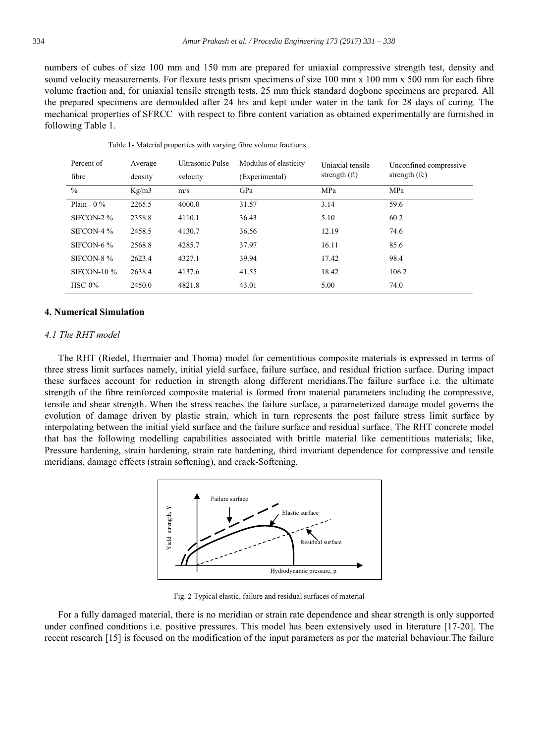numbers of cubes of size 100 mm and 150 mm are prepared for uniaxial compressive strength test, density and sound velocity measurements. For flexure tests prism specimens of size 100 mm x 100 mm x 500 mm for each fibre volume fraction and, for uniaxial tensile strength tests, 25 mm thick standard dogbone specimens are prepared. All the prepared specimens are demoulded after 24 hrs and kept under water in the tank for 28 days of curing. The mechanical properties of SFRCC with respect to fibre content variation as obtained experimentally are furnished in following Table 1.

| Percent of         | Average | <b>Ultrasonic Pulse</b> | Modulus of elasticity | Uniaxial tensile<br>strength $(ft)$ | Unconfined compressive<br>strength $f(c)$ |
|--------------------|---------|-------------------------|-----------------------|-------------------------------------|-------------------------------------------|
| fibre              | density | velocity                | (Experimental)        |                                     |                                           |
| $\frac{0}{0}$      | Kg/m3   | m/s                     | GPa                   | MPa                                 | MPa                                       |
| Plain - $0\%$      | 2265.5  | 4000.0                  | 31.57                 | 3.14                                | 59.6                                      |
| SIFCON-2 %         | 2358.8  | 4110.1                  | 36.43                 | 5.10                                | 60.2                                      |
| SIFCON-4 $%$       | 2458.5  | 4130.7                  | 36.56                 | 12.19                               | 74.6                                      |
| SIFCON-6 $%$       | 2568.8  | 4285.7                  | 37.97                 | 16.11                               | 85.6                                      |
| SIFCON-8 %         | 2623.4  | 4327.1                  | 39.94                 | 17.42                               | 98.4                                      |
| <b>SIFCON-10 %</b> | 2638.4  | 4137.6                  | 41.55                 | 18.42                               | 106.2                                     |
| $HSC-0%$           | 2450.0  | 4821.8                  | 43.01                 | 5.00                                | 74.0                                      |

Table 1- Material properties with varying fibre volume fractions

#### **4. Numerical Simulation**

# 4.1 The RHT model

The RHT (Riedel, Hiermaier and Thoma) model for cementitious composite materials is expressed in terms of three stress limit surfaces namely, initial yield surface, failure surface, and residual friction surface. During impact these surfaces account for reduction in strength along different meridians. The failure surface i.e. the ultimate strength of the fibre reinforced composite material is formed from material parameters including the compressive, tensile and shear strength. When the stress reaches the failure surface, a parameterized damage model governs the evolution of damage driven by plastic strain, which in turn represents the post failure stress limit surface by interpolating between the initial yield surface and the failure surface and residual surface. The RHT concrete model that has the following modelling capabilities associated with brittle material like cementitious materials; like, Pressure hardening, strain hardening, strain rate hardening, third invariant dependence for compressive and tensile meridians, damage effects (strain softening), and crack-Softening.



Fig. 2 Typical elastic, failure and residual surfaces of material

For a fully damaged material, there is no meridian or strain rate dependence and shear strength is only supported under confined conditions *i.e.* positive pressures. This model has been extensively used in literature [17-20]. The recent research [15] is focused on the modification of the input parameters as per the material behaviour. The failure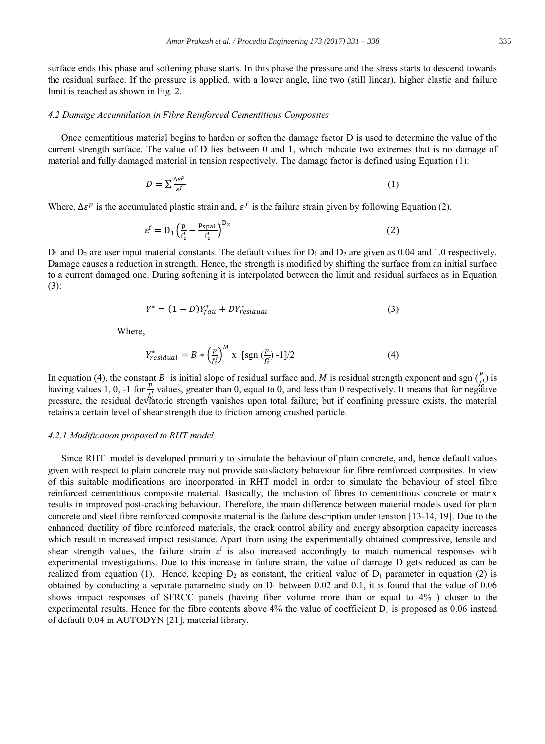surface ends this phase and softening phase starts. In this phase the pressure and the stress starts to descend towards the residual surface. If the pressure is applied, with a lower angle, line two (still linear), higher elastic and failure limit is reached as shown in Fig. 2.

# 4.2 Damage Accumulation in Fibre Reinforced Cementitious Composites

Once cementitious material begins to harden or soften the damage factor D is used to determine the value of the current strength surface. The value of D lies between 0 and 1, which indicate two extremes that is no damage of material and fully damaged material in tension respectively. The damage factor is defined using Equation (1):

$$
D = \sum \frac{\Delta \varepsilon^p}{\varepsilon^f} \tag{1}
$$

Where,  $\Delta \varepsilon^p$  is the accumulated plastic strain and,  $\varepsilon^f$  is the failure strain given by following Equation (2).

$$
\varepsilon^{\mathrm{f}} = \mathrm{D}_{1} \left( \frac{\mathrm{p}}{\mathrm{f}_{\mathrm{c}}'} - \frac{\mathrm{p}_{\mathrm{spal}}}{\mathrm{f}_{\mathrm{c}}'} \right)^{\mathrm{D}_{2}} \tag{2}
$$

 $D_1$  and  $D_2$  are user input material constants. The default values for  $D_1$  and  $D_2$  are given as 0.04 and 1.0 respectively. Damage causes a reduction in strength. Hence, the strength is modified by shifting the surface from an initial surface to a current damaged one. During softening it is interpolated between the limit and residual surfaces as in Equation  $(3)$ :

$$
Y^* = (1 - D)Y_{fail}^* + DY_{residual}^* \tag{3}
$$

Where.

$$
Y_{residual}^* = B * \left(\frac{p}{f_c'}\right)^M x \text{ [sgn } \left(\frac{p}{f_c'}\right) - 1]/2 \tag{4}
$$

In equation (4), the constant B is initial slope of residual surface and, M is residual strength exponent and sgn  $(\frac{p}{\epsilon})$  is having values 1, 0, -1 for  $\frac{p}{\epsilon}$  values, greater than 0, equal to 0, and less than 0 respectively. It means that for negative pressure, the residual deviatoric strength vanishes upon total failure; but if confining pressure exists, the material retains a certain level of shear strength due to friction among crushed particle.

#### 4.2.1 Modification proposed to RHT model

Since RHT model is developed primarily to simulate the behaviour of plain concrete, and, hence default values given with respect to plain concrete may not provide satisfactory behaviour for fibre reinforced composites. In view of this suitable modifications are incorporated in RHT model in order to simulate the behaviour of steel fibre reinforced cementitious composite material. Basically, the inclusion of fibres to cementitious concrete or matrix results in improved post-cracking behaviour. Therefore, the main difference between material models used for plain concrete and steel fibre reinforced composite material is the failure description under tension [13-14, 19]. Due to the enhanced ductility of fibre reinforced materials, the crack control ability and energy absorption capacity increases which result in increased impact resistance. Apart from using the experimentally obtained compressive, tensile and shear strength values, the failure strain  $\varepsilon^f$  is also increased accordingly to match numerical responses with experimental investigations. Due to this increase in failure strain, the value of damage D gets reduced as can be realized from equation (1). Hence, keeping  $D_2$  as constant, the critical value of  $D_1$  parameter in equation (2) is obtained by conducting a separate parametric study on  $D_1$  between 0.02 and 0.1, it is found that the value of 0.06 shows impact responses of SFRCC panels (having fiber volume more than or equal to 4%) closer to the experimental results. Hence for the fibre contents above  $4\%$  the value of coefficient  $D_1$  is proposed as 0.06 instead of default 0.04 in AUTODYN [21], material library.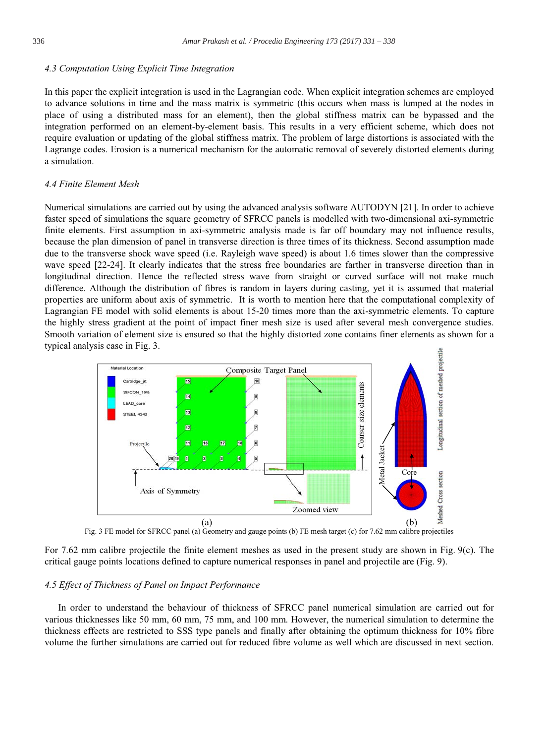#### 4.3 Computation Using Explicit Time Integration

In this paper the explicit integration is used in the Lagrangian code. When explicit integration schemes are employed to advance solutions in time and the mass matrix is symmetric (this occurs when mass is lumped at the nodes in place of using a distributed mass for an element), then the global stiffness matrix can be bypassed and the integration performed on an element-by-element basis. This results in a very efficient scheme, which does not require evaluation or updating of the global stiffness matrix. The problem of large distortions is associated with the Lagrange codes. Erosion is a numerical mechanism for the automatic removal of severely distorted elements during a simulation.

# 4.4 Finite Element Mesh

Numerical simulations are carried out by using the advanced analysis software AUTODYN [21]. In order to achieve faster speed of simulations the square geometry of SFRCC panels is modelled with two-dimensional axi-symmetric finite elements. First assumption in axi-symmetric analysis made is far off boundary may not influence results, because the plan dimension of panel in transverse direction is three times of its thickness. Second assumption made due to the transverse shock wave speed (i.e. Rayleigh wave speed) is about 1.6 times slower than the compressive wave speed [22-24]. It clearly indicates that the stress free boundaries are farther in transverse direction than in longitudinal direction. Hence the reflected stress wave from straight or curved surface will not make much difference. Although the distribution of fibres is random in layers during casting, yet it is assumed that material properties are uniform about axis of symmetric. It is worth to mention here that the computational complexity of Lagrangian FE model with solid elements is about 15-20 times more than the axi-symmetric elements. To capture the highly stress gradient at the point of impact finer mesh size is used after several mesh convergence studies. Smooth variation of element size is ensured so that the highly distorted zone contains finer elements as shown for a typical analysis case in Fig. 3.



Fig. 3 FE model for SFRCC panel (a) Geometry and gauge points (b) FE mesh target (c) for 7.62 mm calibre projectiles

For 7.62 mm calibre projectile the finite element meshes as used in the present study are shown in Fig. 9(c). The critical gauge points locations defined to capture numerical responses in panel and projectile are (Fig. 9).

# 4.5 Effect of Thickness of Panel on Impact Performance

In order to understand the behaviour of thickness of SFRCC panel numerical simulation are carried out for various thicknesses like 50 mm, 60 mm, 75 mm, and 100 mm. However, the numerical simulation to determine the thickness effects are restricted to SSS type panels and finally after obtaining the optimum thickness for 10% fibre volume the further simulations are carried out for reduced fibre volume as well which are discussed in next section.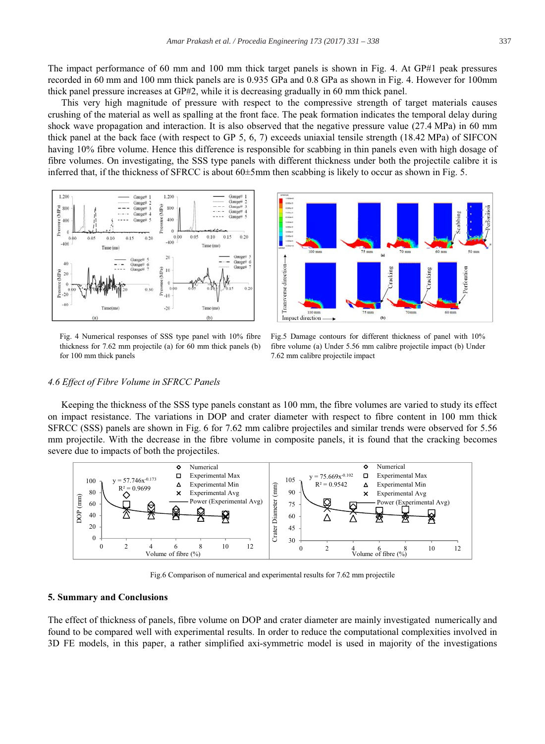The impact performance of 60 mm and 100 mm thick target panels is shown in Fig. 4. At GP#1 peak pressures recorded in 60 mm and 100 mm thick panels are is 0.935 GPa and 0.8 GPa as shown in Fig. 4. However for 100mm thick panel pressure increases at GP#2, while it is decreasing gradually in 60 mm thick panel.

This very high magnitude of pressure with respect to the compressive strength of target materials causes crushing of the material as well as spalling at the front face. The peak formation indicates the temporal delay during shock wave propagation and interaction. It is also observed that the negative pressure value (27.4 MPa) in 60 mm thick panel at the back face (with respect to GP 5, 6, 7) exceeds uniaxial tensile strength (18.42 MPa) of SIFCON having 10% fibre volume. Hence this difference is responsible for scabbing in thin panels even with high dosage of fibre volumes. On investigating, the SSS type panels with different thickness under both the projectile calibre it is inferred that, if the thickness of SFRCC is about 60±5mm then scabbing is likely to occur as shown in Fig. 5.



Fig. 4 Numerical responses of SSS type panel with 10% fibre thickness for 7.62 mm projectile (a) for 60 mm thick panels (b) for 100 mm thick panels



Fig.5 Damage contours for different thickness of panel with 10% fibre volume (a) Under 5.56 mm calibre projectile impact (b) Under 7.62 mm calibre projectile impact

#### 4.6 Effect of Fibre Volume in SFRCC Panels

Keeping the thickness of the SSS type panels constant as 100 mm, the fibre volumes are varied to study its effect on impact resistance. The variations in DOP and crater diameter with respect to fibre content in 100 mm thick SFRCC (SSS) panels are shown in Fig. 6 for 7.62 mm calibre projectiles and similar trends were observed for 5.56 mm projectile. With the decrease in the fibre volume in composite panels, it is found that the cracking becomes severe due to impacts of both the projectiles.



Fig.6 Comparison of numerical and experimental results for 7.62 mm projectile

#### **5. Summary and Conclusions**

The effect of thickness of panels, fibre volume on DOP and crater diameter are mainly investigated numerically and found to be compared well with experimental results. In order to reduce the computational complexities involved in 3D FE models, in this paper, a rather simplified axi-symmetric model is used in majority of the investigations